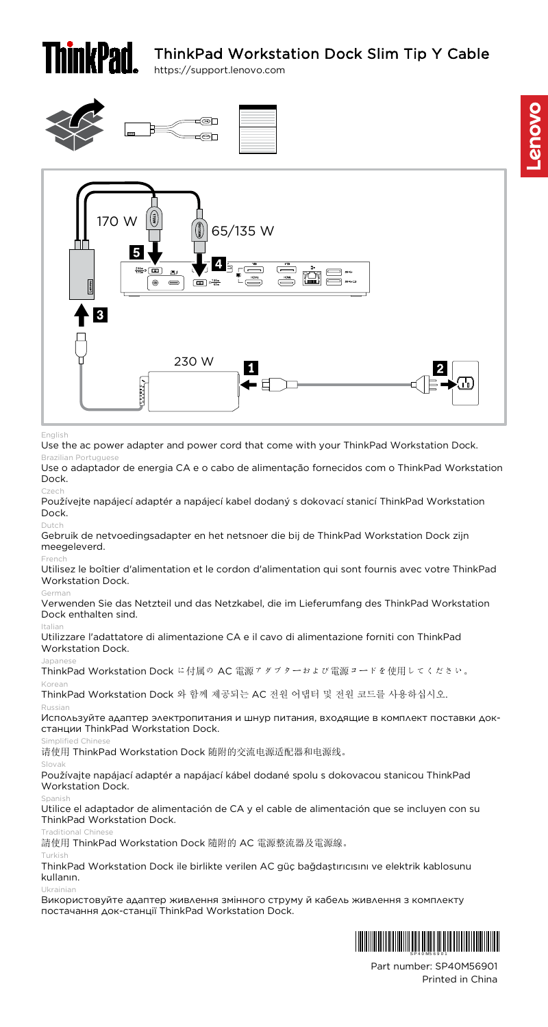# ThinkPad Workstation Dock Slim Tip Y Cable https://support.lenovo.com





Use the ac power adapter and power cord that come with your ThinkPad Workstation Dock.

Brazilian Portuguese Use o adaptador de energia CA e o cabo de alimentação fornecidos com o ThinkPad Workstation Dock.

Czech Používejte napájecí adaptér a napájecí kabel dodaný s dokovací stanicí ThinkPad Workstation Dock.

Gebruik de netvoedingsadapter en het netsnoer die bij de ThinkPad Workstation Dock zijn meegeleverd.

French Utilisez le boîtier d'alimentation et le cordon d'alimentation qui sont fournis avec votre ThinkPad Workstation Dock.

German Verwenden Sie das Netzteil und das Netzkabel, die im Lieferumfang des ThinkPad Workstation Dock enthalten sind.

Italian Utilizzare l'adattatore di alimentazione CA e il cavo di alimentazione forniti con ThinkPad Workstation Dock.

Japanese ThinkPad Workstation Dock に付属の AC 電源アダプターおよび電源コードを使用してください。

Korean ThinkPad Workstation Dock 와 함께 제공되는 AC 전원 어댑터 및 전원 코드를 사용하십시오.

#### Russian

Используйте адаптер электропитания и шнур питания, входящие в комплект поставки докстанции ThinkPad Workstation Dock.

Simplified Chinese 请使用 ThinkPad Workstation Dock 随附的交流电源适配器和电源线。

#### Slovak

Používajte napájací adaptér a napájací kábel dodané spolu s dokovacou stanicou ThinkPad Workstation Dock.

Spanish Utilice el adaptador de alimentación de CA y el cable de alimentación que se incluyen con su ThinkPad Workstation Dock.

Traditional Chinese 請使用 ThinkPad Workstation Dock 隨附的 AC 電源整流器及電源線。

#### Turkish

ThinkPad Workstation Dock ile birlikte verilen AC güç bağdaştırıcısını ve elektrik kablosunu kullanın.

Ukrainian Використовуйте адаптер живлення змінного струму й кабель живлення з комплекту постачання док-станції ThinkPad Workstation Dock.



Part number: SP40M56901 Printed in China